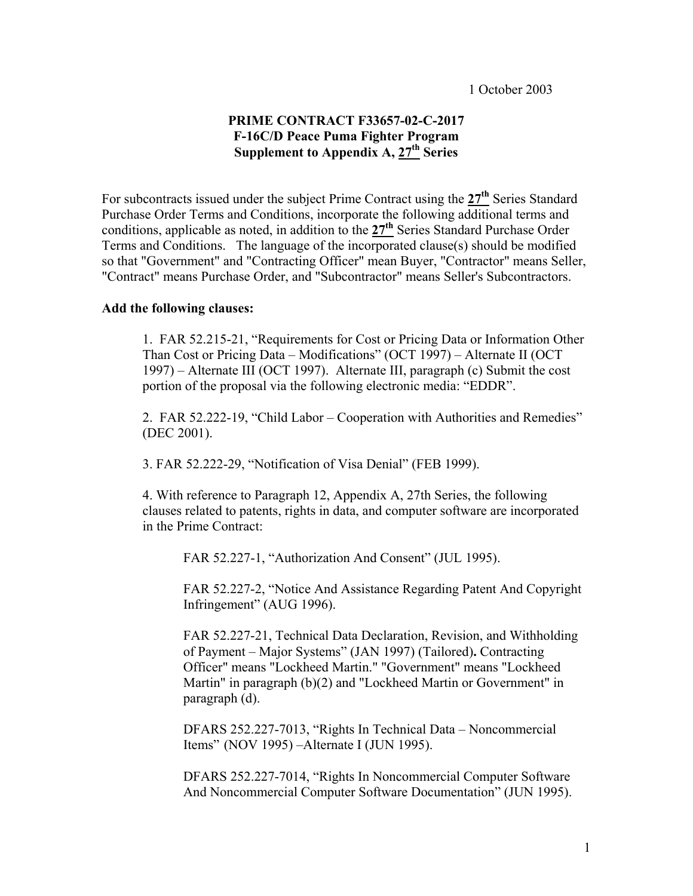# **PRIME CONTRACT F33657-02-C-2017 F-16C/D Peace Puma Fighter Program Supplement to Appendix A, 27th Series**

For subcontracts issued under the subject Prime Contract using the **27th** Series Standard Purchase Order Terms and Conditions, incorporate the following additional terms and conditions, applicable as noted, in addition to the **27th** Series Standard Purchase Order Terms and Conditions. The language of the incorporated clause(s) should be modified so that "Government" and "Contracting Officer" mean Buyer, "Contractor" means Seller, "Contract" means Purchase Order, and "Subcontractor" means Seller's Subcontractors.

### **Add the following clauses:**

 1. FAR 52.215-21, "Requirements for Cost or Pricing Data or Information Other Than Cost or Pricing Data – Modifications" (OCT 1997) – Alternate II (OCT 1997) – Alternate III (OCT 1997). Alternate III, paragraph (c) Submit the cost portion of the proposal via the following electronic media: "EDDR".

 2. FAR 52.222-19, "Child Labor – Cooperation with Authorities and Remedies" (DEC 2001).

3. FAR 52.222-29, "Notification of Visa Denial" (FEB 1999).

 4. With reference to Paragraph 12, Appendix A, 27th Series, the following clauses related to patents, rights in data, and computer software are incorporated in the Prime Contract:

FAR 52.227-1, "Authorization And Consent" (JUL 1995).

 FAR 52.227-2, "Notice And Assistance Regarding Patent And Copyright Infringement" (AUG 1996).

 FAR 52.227-21, Technical Data Declaration, Revision, and Withholding of Payment – Major Systems" (JAN 1997) (Tailored)**.** Contracting Officer" means "Lockheed Martin." "Government" means "Lockheed Martin" in paragraph (b)(2) and "Lockheed Martin or Government" in paragraph (d).

 DFARS 252.227-7013, "Rights In Technical Data – Noncommercial Items" (NOV 1995) –Alternate I (JUN 1995).

 DFARS 252.227-7014, "Rights In Noncommercial Computer Software And Noncommercial Computer Software Documentation" (JUN 1995).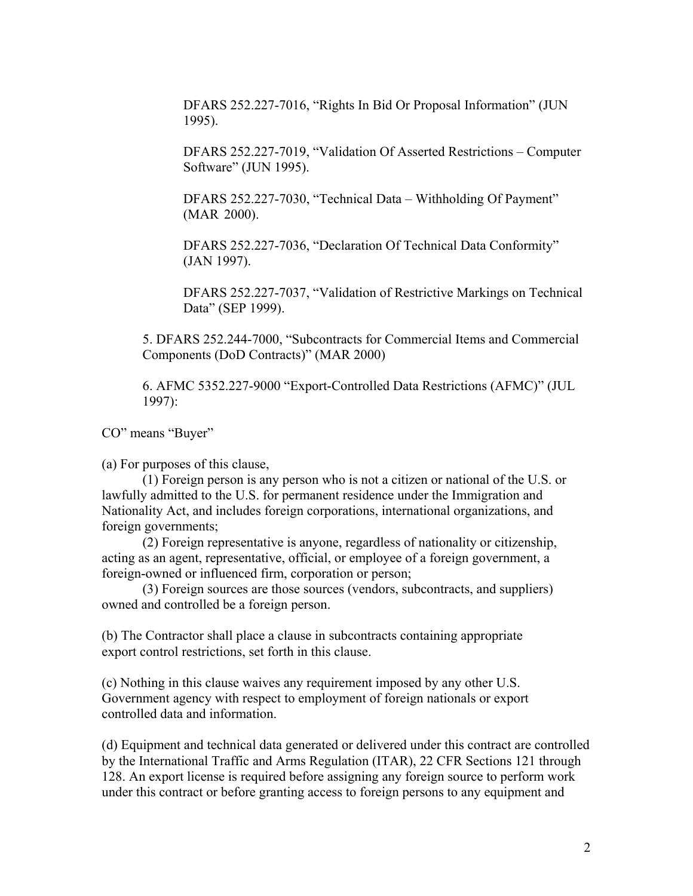DFARS 252.227-7016, "Rights In Bid Or Proposal Information" (JUN 1995).

 DFARS 252.227-7019, "Validation Of Asserted Restrictions – Computer Software" (JUN 1995).

 DFARS 252.227-7030, "Technical Data – Withholding Of Payment" (MAR 2000).

 DFARS 252.227-7036, "Declaration Of Technical Data Conformity" (JAN 1997).

 DFARS 252.227-7037, "Validation of Restrictive Markings on Technical Data" (SEP 1999).

 5. DFARS 252.244-7000, "Subcontracts for Commercial Items and Commercial Components (DoD Contracts)" (MAR 2000)

 6. AFMC 5352.227-9000 "Export-Controlled Data Restrictions (AFMC)" (JUL 1997):

CO" means "Buyer"

(a) For purposes of this clause,

 (1) Foreign person is any person who is not a citizen or national of the U.S. or lawfully admitted to the U.S. for permanent residence under the Immigration and Nationality Act, and includes foreign corporations, international organizations, and foreign governments;

 (2) Foreign representative is anyone, regardless of nationality or citizenship, acting as an agent, representative, official, or employee of a foreign government, a foreign-owned or influenced firm, corporation or person;

 (3) Foreign sources are those sources (vendors, subcontracts, and suppliers) owned and controlled be a foreign person.

(b) The Contractor shall place a clause in subcontracts containing appropriate export control restrictions, set forth in this clause.

(c) Nothing in this clause waives any requirement imposed by any other U.S. Government agency with respect to employment of foreign nationals or export controlled data and information.

(d) Equipment and technical data generated or delivered under this contract are controlled by the International Traffic and Arms Regulation (ITAR), 22 CFR Sections 121 through 128. An export license is required before assigning any foreign source to perform work under this contract or before granting access to foreign persons to any equipment and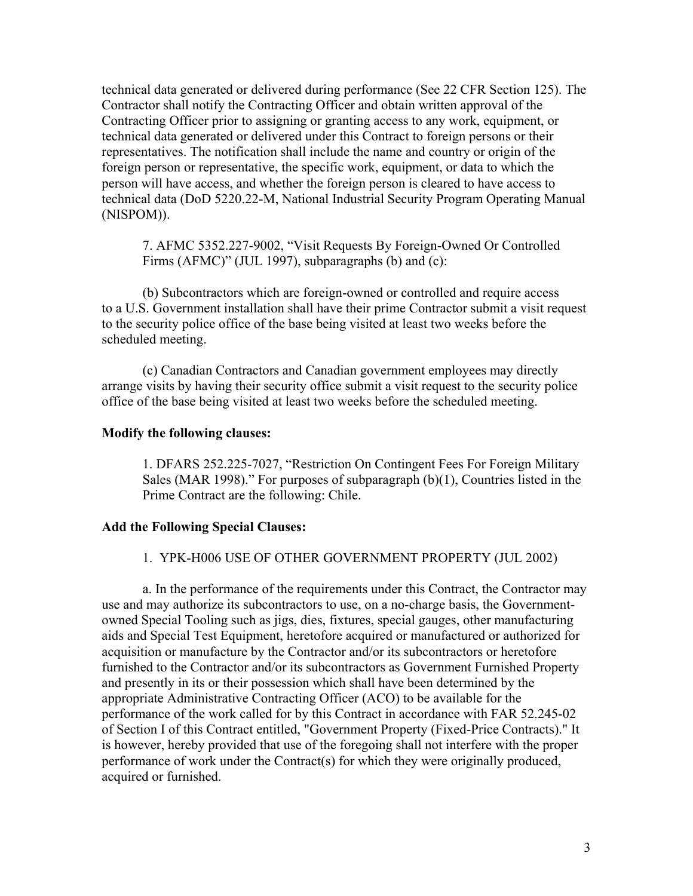technical data generated or delivered during performance (See 22 CFR Section 125). The Contractor shall notify the Contracting Officer and obtain written approval of the Contracting Officer prior to assigning or granting access to any work, equipment, or technical data generated or delivered under this Contract to foreign persons or their representatives. The notification shall include the name and country or origin of the foreign person or representative, the specific work, equipment, or data to which the person will have access, and whether the foreign person is cleared to have access to technical data (DoD 5220.22-M, National Industrial Security Program Operating Manual (NISPOM)).

 7. AFMC 5352.227-9002, "Visit Requests By Foreign-Owned Or Controlled Firms (AFMC)" (JUL 1997), subparagraphs (b) and (c):

 (b) Subcontractors which are foreign-owned or controlled and require access to a U.S. Government installation shall have their prime Contractor submit a visit request to the security police office of the base being visited at least two weeks before the scheduled meeting.

 (c) Canadian Contractors and Canadian government employees may directly arrange visits by having their security office submit a visit request to the security police office of the base being visited at least two weeks before the scheduled meeting.

## **Modify the following clauses:**

 1. DFARS 252.225-7027, "Restriction On Contingent Fees For Foreign Military Sales (MAR 1998)." For purposes of subparagraph (b)(1), Countries listed in the Prime Contract are the following: Chile.

#### **Add the Following Special Clauses:**

#### 1. YPK-H006 USE OF OTHER GOVERNMENT PROPERTY (JUL 2002)

 a. In the performance of the requirements under this Contract, the Contractor may use and may authorize its subcontractors to use, on a no-charge basis, the Governmentowned Special Tooling such as jigs, dies, fixtures, special gauges, other manufacturing aids and Special Test Equipment, heretofore acquired or manufactured or authorized for acquisition or manufacture by the Contractor and/or its subcontractors or heretofore furnished to the Contractor and/or its subcontractors as Government Furnished Property and presently in its or their possession which shall have been determined by the appropriate Administrative Contracting Officer (ACO) to be available for the performance of the work called for by this Contract in accordance with FAR 52.245-02 of Section I of this Contract entitled, "Government Property (Fixed-Price Contracts)." It is however, hereby provided that use of the foregoing shall not interfere with the proper performance of work under the Contract(s) for which they were originally produced, acquired or furnished.